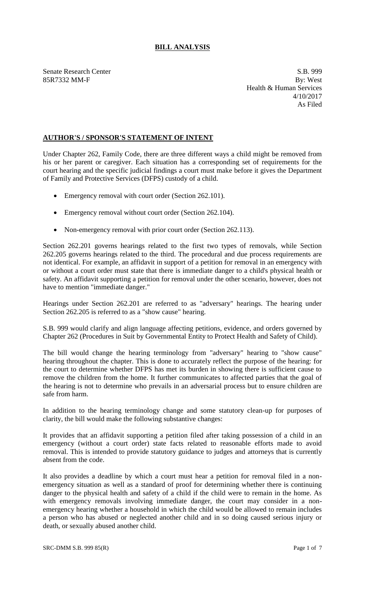# **BILL ANALYSIS**

Senate Research Center S.B. 999 85R7332 MM-F By: West Health & Human Services 4/10/2017 As Filed

### **AUTHOR'S / SPONSOR'S STATEMENT OF INTENT**

Under Chapter 262, Family Code, there are three different ways a child might be removed from his or her parent or caregiver. Each situation has a corresponding set of requirements for the court hearing and the specific judicial findings a court must make before it gives the Department of Family and Protective Services (DFPS) custody of a child.

- Emergency removal with court order (Section 262.101).
- Emergency removal without court order (Section 262.104).
- Non-emergency removal with prior court order (Section 262.113).

Section 262.201 governs hearings related to the first two types of removals, while Section 262.205 governs hearings related to the third. The procedural and due process requirements are not identical. For example, an affidavit in support of a petition for removal in an emergency with or without a court order must state that there is immediate danger to a child's physical health or safety. An affidavit supporting a petition for removal under the other scenario, however, does not have to mention "immediate danger."

Hearings under Section 262.201 are referred to as "adversary" hearings. The hearing under Section 262.205 is referred to as a "show cause" hearing.

S.B. 999 would clarify and align language affecting petitions, evidence, and orders governed by Chapter 262 (Procedures in Suit by Governmental Entity to Protect Health and Safety of Child).

The bill would change the hearing terminology from "adversary" hearing to "show cause" hearing throughout the chapter. This is done to accurately reflect the purpose of the hearing: for the court to determine whether DFPS has met its burden in showing there is sufficient cause to remove the children from the home. It further communicates to affected parties that the goal of the hearing is not to determine who prevails in an adversarial process but to ensure children are safe from harm.

In addition to the hearing terminology change and some statutory clean-up for purposes of clarity, the bill would make the following substantive changes:

It provides that an affidavit supporting a petition filed after taking possession of a child in an emergency (without a court order) state facts related to reasonable efforts made to avoid removal. This is intended to provide statutory guidance to judges and attorneys that is currently absent from the code.

It also provides a deadline by which a court must hear a petition for removal filed in a nonemergency situation as well as a standard of proof for determining whether there is continuing danger to the physical health and safety of a child if the child were to remain in the home. As with emergency removals involving immediate danger, the court may consider in a nonemergency hearing whether a household in which the child would be allowed to remain includes a person who has abused or neglected another child and in so doing caused serious injury or death, or sexually abused another child.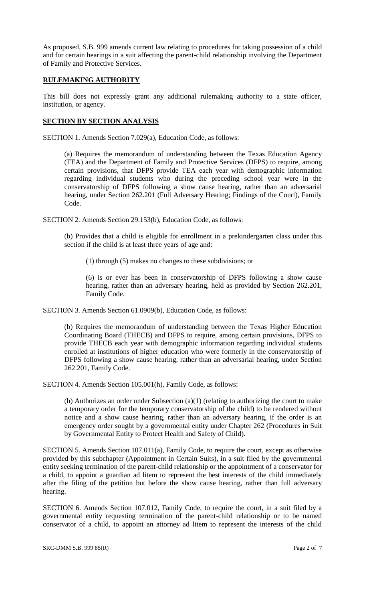As proposed, S.B. 999 amends current law relating to procedures for taking possession of a child and for certain hearings in a suit affecting the parent-child relationship involving the Department of Family and Protective Services.

#### **RULEMAKING AUTHORITY**

This bill does not expressly grant any additional rulemaking authority to a state officer, institution, or agency.

## **SECTION BY SECTION ANALYSIS**

SECTION 1. Amends Section 7.029(a), Education Code, as follows:

(a) Requires the memorandum of understanding between the Texas Education Agency (TEA) and the Department of Family and Protective Services (DFPS) to require, among certain provisions, that DFPS provide TEA each year with demographic information regarding individual students who during the preceding school year were in the conservatorship of DFPS following a show cause hearing, rather than an adversarial hearing, under Section 262.201 (Full Adversary Hearing; Findings of the Court), Family Code.

SECTION 2. Amends Section 29.153(b), Education Code, as follows:

(b) Provides that a child is eligible for enrollment in a prekindergarten class under this section if the child is at least three years of age and:

(1) through (5) makes no changes to these subdivisions; or

(6) is or ever has been in conservatorship of DFPS following a show cause hearing, rather than an adversary hearing, held as provided by Section 262.201, Family Code.

SECTION 3. Amends Section 61.0909(b), Education Code, as follows:

(b) Requires the memorandum of understanding between the Texas Higher Education Coordinating Board (THECB) and DFPS to require, among certain provisions, DFPS to provide THECB each year with demographic information regarding individual students enrolled at institutions of higher education who were formerly in the conservatorship of DFPS following a show cause hearing, rather than an adversarial hearing, under Section 262.201, Family Code.

SECTION 4. Amends Section 105.001(h), Family Code, as follows:

(h) Authorizes an order under Subsection (a)(1) (relating to authorizing the court to make a temporary order for the temporary conservatorship of the child) to be rendered without notice and a show cause hearing, rather than an adversary hearing, if the order is an emergency order sought by a governmental entity under Chapter 262 (Procedures in Suit by Governmental Entity to Protect Health and Safety of Child).

SECTION 5. Amends Section 107.011(a), Family Code, to require the court, except as otherwise provided by this subchapter (Appointment in Certain Suits), in a suit filed by the governmental entity seeking termination of the parent-child relationship or the appointment of a conservator for a child, to appoint a guardian ad litem to represent the best interests of the child immediately after the filing of the petition but before the show cause hearing, rather than full adversary hearing.

SECTION 6. Amends Section 107.012, Family Code, to require the court, in a suit filed by a governmental entity requesting termination of the parent-child relationship or to be named conservator of a child, to appoint an attorney ad litem to represent the interests of the child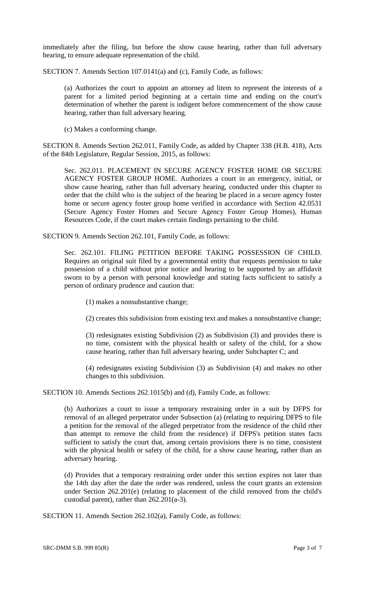immediately after the filing, but before the show cause hearing, rather than full adversary hearing, to ensure adequate representation of the child.

SECTION 7. Amends Section 107.0141(a) and (c), Family Code, as follows:

(a) Authorizes the court to appoint an attorney ad litem to represent the interests of a parent for a limited period beginning at a certain time and ending on the court's determination of whether the parent is indigent before commencement of the show cause hearing, rather than full adversary hearing.

(c) Makes a conforming change.

SECTION 8. Amends Section 262.011, Family Code, as added by Chapter 338 (H.B. 418), Acts of the 84th Legislature, Regular Session, 2015, as follows:

Sec. 262.011. PLACEMENT IN SECURE AGENCY FOSTER HOME OR SECURE AGENCY FOSTER GROUP HOME. Authorizes a court in an emergency, initial, or show cause hearing, rather than full adversary hearing, conducted under this chapter to order that the child who is the subject of the hearing be placed in a secure agency foster home or secure agency foster group home verified in accordance with Section 42.0531 (Secure Agency Foster Homes and Secure Agency Foster Group Homes), Human Resources Code, if the court makes certain findings pertaining to the child.

SECTION 9. Amends Section 262.101, Family Code, as follows:

Sec. 262.101. FILING PETITION BEFORE TAKING POSSESSION OF CHILD. Requires an original suit filed by a governmental entity that requests permission to take possession of a child without prior notice and hearing to be supported by an affidavit sworn to by a person with personal knowledge and stating facts sufficient to satisfy a person of ordinary prudence and caution that:

(1) makes a nonsubstantive change;

(2) creates this subdivision from existing text and makes a nonsubstantive change;

(3) redesignates existing Subdivision (2) as Subdivision (3) and provides there is no time, consistent with the physical health or safety of the child, for a show cause hearing, rather than full adversary hearing, under Subchapter C; and

(4) redesignates existing Subdivision (3) as Subdivision (4) and makes no other changes to this subdivision.

SECTION 10. Amends Sections 262.1015(b) and (d), Family Code, as follows:

(b) Authorizes a court to issue a temporary restraining order in a suit by DFPS for removal of an alleged perpetrator under Subsection (a) (relating to requiring DFPS to file a petition for the removal of the alleged perpetrator from the residence of the child rther than attempt to remove the child from the residence) if DFPS's petition states facts sufficient to satisfy the court that, among certain provisions there is no time, consistent with the physical health or safety of the child, for a show cause hearing, rather than an adversary hearing.

(d) Provides that a temporary restraining order under this section expires not later than the 14th day after the date the order was rendered, unless the court grants an extension under Section 262.201(e) (relating to placement of the child removed from the child's custodial parent), rather than 262.201(a-3).

SECTION 11. Amends Section 262.102(a), Family Code, as follows: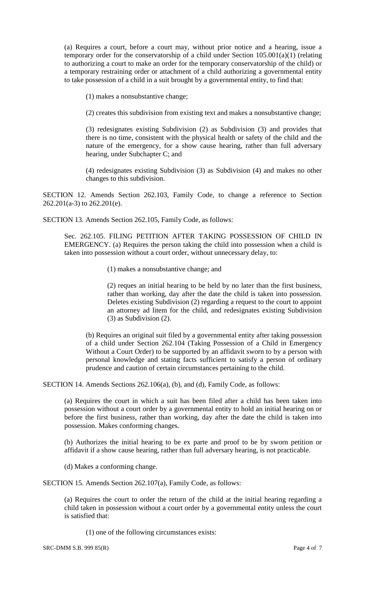(a) Requires a court, before a court may, without prior notice and a hearing, issue a temporary order for the conservatorship of a child under Section 105.001(a)(1) (relating to authorizing a court to make an order for the temporary conservatorship of the child) or a temporary restraining order or attachment of a child authorizing a governmental entity to take possession of a child in a suit brought by a governmental entity, to find that:

(1) makes a nonsubstantive change;

(2) creates this subdivision from existing text and makes a nonsubstantive change;

(3) redesignates existing Subdivision (2) as Subdivision (3) and provides that there is no time, consistent with the physical health or safety of the child and the nature of the emergency, for a show cause hearing, rather than full adversary hearing, under Subchapter C; and

(4) redesignates existing Subdivision (3) as Subdivision (4) and makes no other changes to this subdivision.

SECTION 12. Amends Section 262.103, Family Code, to change a reference to Section 262.201(a-3) to 262.201(e).

SECTION 13. Amends Section 262.105, Family Code, as follows:

Sec. 262.105. FILING PETITION AFTER TAKING POSSESSION OF CHILD IN EMERGENCY. (a) Requires the person taking the child into possession when a child is taken into possession without a court order, without unnecessary delay, to:

(1) makes a nonsubstantive change; and

(2) reques an initial hearing to be held by no later than the first business, rather than working, day after the date the child is taken into possession. Deletes existing Subdivision (2) regarding a request to the court to appoint an attorney ad litem for the child, and redesignates existing Subdivision (3) as Subdivision (2).

(b) Requires an original suit filed by a governmental entity after taking possession of a child under Section 262.104 (Taking Possession of a Child in Emergency Without a Court Order) to be supported by an affidavit sworn to by a person with personal knowledge and stating facts sufficient to satisfy a person of ordinary prudence and caution of certain circumstances pertaining to the child.

SECTION 14. Amends Sections 262.106(a), (b), and (d), Family Code, as follows:

(a) Requires the court in which a suit has been filed after a child has been taken into possession without a court order by a governmental entity to hold an initial hearing on or before the first business, rather than working, day after the date the child is taken into possession. Makes conforming changes.

(b) Authorizes the initial hearing to be ex parte and proof to be by sworn petition or affidavit if a show cause hearing, rather than full adversary hearing, is not practicable.

(d) Makes a conforming change.

SECTION 15. Amends Section 262.107(a), Family Code, as follows:

(a) Requires the court to order the return of the child at the initial hearing regarding a child taken in possession without a court order by a governmental entity unless the court is satisfied that:

(1) one of the following circumstances exists:

SRC-DMM S.B. 999 85(R) Page 4 of 7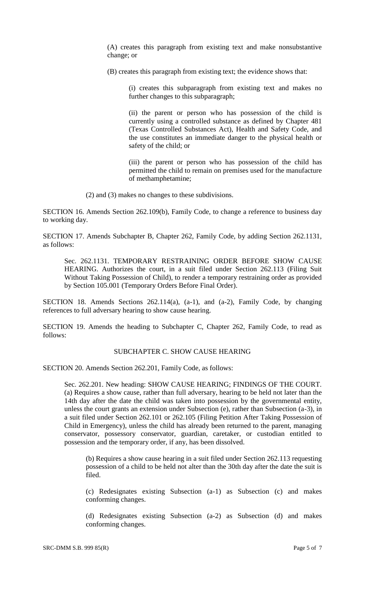(A) creates this paragraph from existing text and make nonsubstantive change; or

(B) creates this paragraph from existing text; the evidence shows that:

(i) creates this subparagraph from existing text and makes no further changes to this subparagraph;

(ii) the parent or person who has possession of the child is currently using a controlled substance as defined by Chapter 481 (Texas Controlled Substances Act), Health and Safety Code, and the use constitutes an immediate danger to the physical health or safety of the child; or

(iii) the parent or person who has possession of the child has permitted the child to remain on premises used for the manufacture of methamphetamine;

(2) and (3) makes no changes to these subdivisions.

SECTION 16. Amends Section 262.109(b), Family Code, to change a reference to business day to working day.

SECTION 17. Amends Subchapter B, Chapter 262, Family Code, by adding Section 262.1131, as follows:

Sec. 262.1131. TEMPORARY RESTRAINING ORDER BEFORE SHOW CAUSE HEARING. Authorizes the court, in a suit filed under Section 262.113 (Filing Suit Without Taking Possession of Child), to render a temporary restraining order as provided by Section 105.001 (Temporary Orders Before Final Order).

SECTION 18. Amends Sections 262.114(a), (a-1), and (a-2), Family Code, by changing references to full adversary hearing to show cause hearing.

SECTION 19. Amends the heading to Subchapter C, Chapter 262, Family Code, to read as follows:

#### SUBCHAPTER C. SHOW CAUSE HEARING

SECTION 20. Amends Section 262.201, Family Code, as follows:

Sec. 262.201. New heading: SHOW CAUSE HEARING; FINDINGS OF THE COURT. (a) Requires a show cause, rather than full adversary, hearing to be held not later than the 14th day after the date the child was taken into possession by the governmental entity, unless the court grants an extension under Subsection (e), rather than Subsection (a-3), in a suit filed under Section 262.101 or 262.105 (Filing Petition After Taking Possession of Child in Emergency), unless the child has already been returned to the parent, managing conservator, possessory conservator, guardian, caretaker, or custodian entitled to possession and the temporary order, if any, has been dissolved.

(b) Requires a show cause hearing in a suit filed under Section 262.113 requesting possession of a child to be held not alter than the 30th day after the date the suit is filed.

(c) Redesignates existing Subsection (a-1) as Subsection (c) and makes conforming changes.

(d) Redesignates existing Subsection (a-2) as Subsection (d) and makes conforming changes.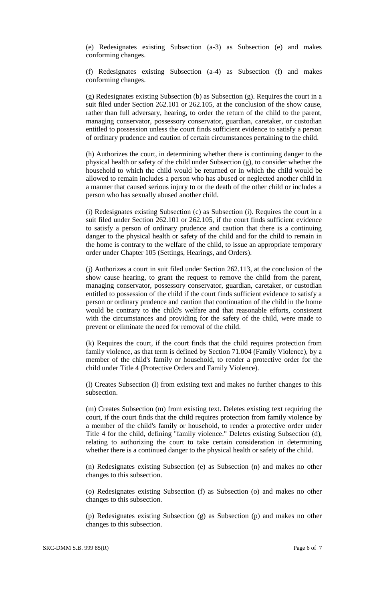(e) Redesignates existing Subsection (a-3) as Subsection (e) and makes conforming changes.

(f) Redesignates existing Subsection (a-4) as Subsection (f) and makes conforming changes.

 $(g)$  Redesignates existing Subsection (b) as Subsection  $(g)$ . Requires the court in a suit filed under Section 262.101 or 262.105, at the conclusion of the show cause, rather than full adversary, hearing, to order the return of the child to the parent, managing conservator, possessory conservator, guardian, caretaker, or custodian entitled to possession unless the court finds sufficient evidence to satisfy a person of ordinary prudence and caution of certain circumstances pertaining to the child.

(h) Authorizes the court, in determining whether there is continuing danger to the physical health or safety of the child under Subsection (g), to consider whether the household to which the child would be returned or in which the child would be allowed to remain includes a person who has abused or neglected another child in a manner that caused serious injury to or the death of the other child or includes a person who has sexually abused another child.

(i) Redesignates existing Subsection (c) as Subsection (i). Requires the court in a suit filed under Section 262.101 or 262.105, if the court finds sufficient evidence to satisfy a person of ordinary prudence and caution that there is a continuing danger to the physical health or safety of the child and for the child to remain in the home is contrary to the welfare of the child, to issue an appropriate temporary order under Chapter 105 (Settings, Hearings, and Orders).

(j) Authorizes a court in suit filed under Section 262.113, at the conclusion of the show cause hearing, to grant the request to remove the child from the parent, managing conservator, possessory conservator, guardian, caretaker, or custodian entitled to possession of the child if the court finds sufficient evidence to satisfy a person or ordinary prudence and caution that continuation of the child in the home would be contrary to the child's welfare and that reasonable efforts, consistent with the circumstances and providing for the safety of the child, were made to prevent or eliminate the need for removal of the child.

(k) Requires the court, if the court finds that the child requires protection from family violence, as that term is defined by Section 71.004 (Family Violence), by a member of the child's family or household, to render a protective order for the child under Title 4 (Protective Orders and Family Violence).

(l) Creates Subsection (l) from existing text and makes no further changes to this subsection.

(m) Creates Subsection (m) from existing text. Deletes existing text requiring the court, if the court finds that the child requires protection from family violence by a member of the child's family or household, to render a protective order under Title 4 for the child, defining "family violence." Deletes existing Subsection (d), relating to authorizing the court to take certain consideration in determining whether there is a continued danger to the physical health or safety of the child.

(n) Redesignates existing Subsection (e) as Subsection (n) and makes no other changes to this subsection.

(o) Redesignates existing Subsection (f) as Subsection (o) and makes no other changes to this subsection.

(p) Redesignates existing Subsection (g) as Subsection (p) and makes no other changes to this subsection.